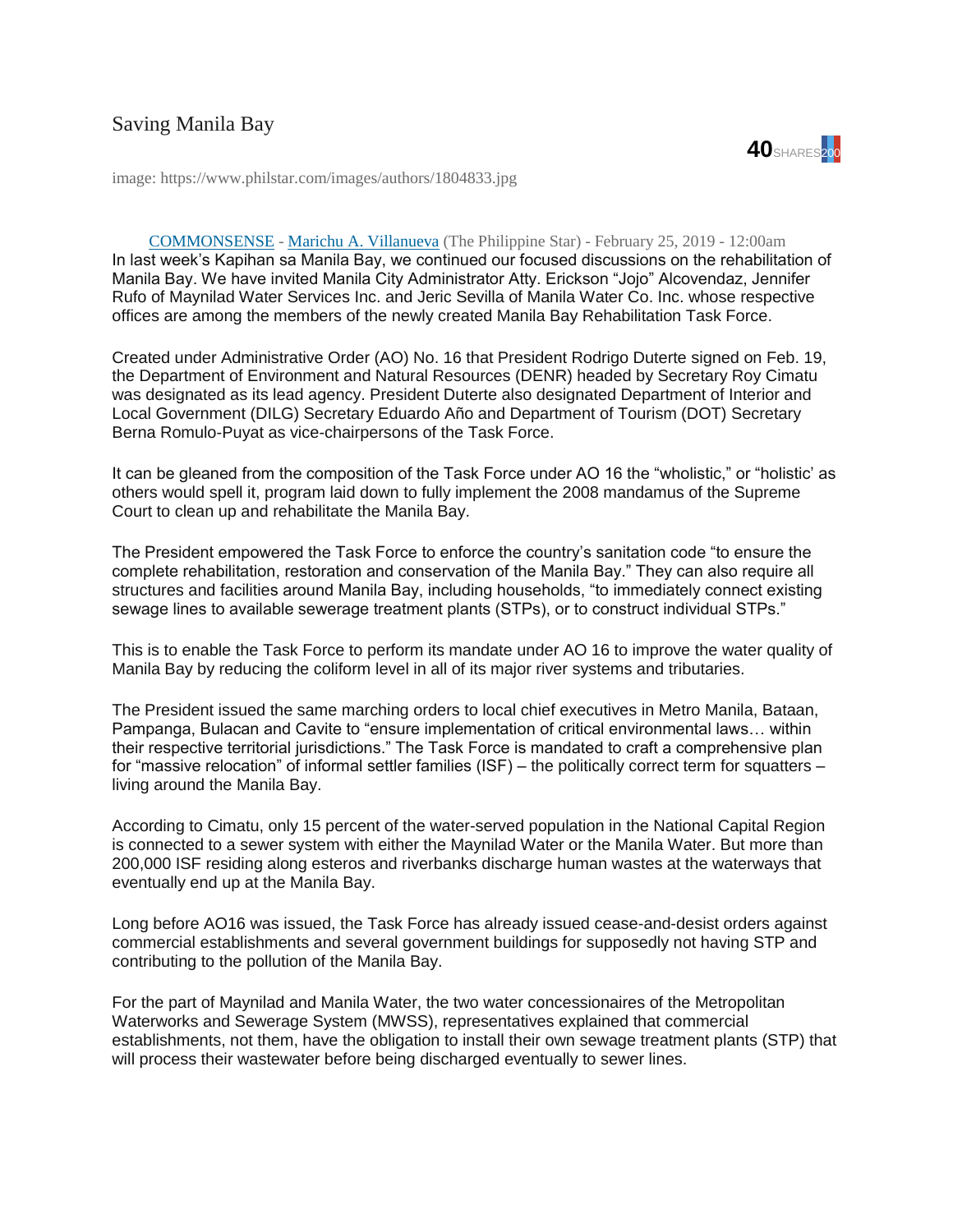

image: https://www.philstar.com/images/authors/1804833.jpg

## [COMMONSENSE](https://www.philstar.com/columns/136417) - [Marichu A. Villanueva](https://www.philstar.com/authors/1804833/marichu-a-villanueva) (The Philippine Star) - February 25, 2019 - 12:00am

In last week's Kapihan sa Manila Bay, we continued our focused discussions on the rehabilitation of Manila Bay. We have invited Manila City Administrator Atty. Erickson "Jojo" Alcovendaz, Jennifer Rufo of Maynilad Water Services Inc. and Jeric Sevilla of Manila Water Co. Inc. whose respective offices are among the members of the newly created Manila Bay Rehabilitation Task Force.

Created under Administrative Order (AO) No. 16 that President Rodrigo Duterte signed on Feb. 19, the Department of Environment and Natural Resources (DENR) headed by Secretary Roy Cimatu was designated as its lead agency. President Duterte also designated Department of Interior and Local Government (DILG) Secretary Eduardo Año and Department of Tourism (DOT) Secretary Berna Romulo-Puyat as vice-chairpersons of the Task Force.

It can be gleaned from the composition of the Task Force under AO 16 the "wholistic," or "holistic' as others would spell it, program laid down to fully implement the 2008 mandamus of the Supreme Court to clean up and rehabilitate the Manila Bay.

The President empowered the Task Force to enforce the country's sanitation code "to ensure the complete rehabilitation, restoration and conservation of the Manila Bay." They can also require all structures and facilities around Manila Bay, including households, "to immediately connect existing sewage lines to available sewerage treatment plants (STPs), or to construct individual STPs."

This is to enable the Task Force to perform its mandate under AO 16 to improve the water quality of Manila Bay by reducing the coliform level in all of its major river systems and tributaries.

The President issued the same marching orders to local chief executives in Metro Manila, Bataan, Pampanga, Bulacan and Cavite to "ensure implementation of critical environmental laws… within their respective territorial jurisdictions." The Task Force is mandated to craft a comprehensive plan for "massive relocation" of informal settler families (ISF) – the politically correct term for squatters – living around the Manila Bay.

According to Cimatu, only 15 percent of the water-served population in the National Capital Region is connected to a sewer system with either the Maynilad Water or the Manila Water. But more than 200,000 ISF residing along esteros and riverbanks discharge human wastes at the waterways that eventually end up at the Manila Bay.

Long before AO16 was issued, the Task Force has already issued cease-and-desist orders against commercial establishments and several government buildings for supposedly not having STP and contributing to the pollution of the Manila Bay.

For the part of Maynilad and Manila Water, the two water concessionaires of the Metropolitan Waterworks and Sewerage System (MWSS), representatives explained that commercial establishments, not them, have the obligation to install their own sewage treatment plants (STP) that will process their wastewater before being discharged eventually to sewer lines.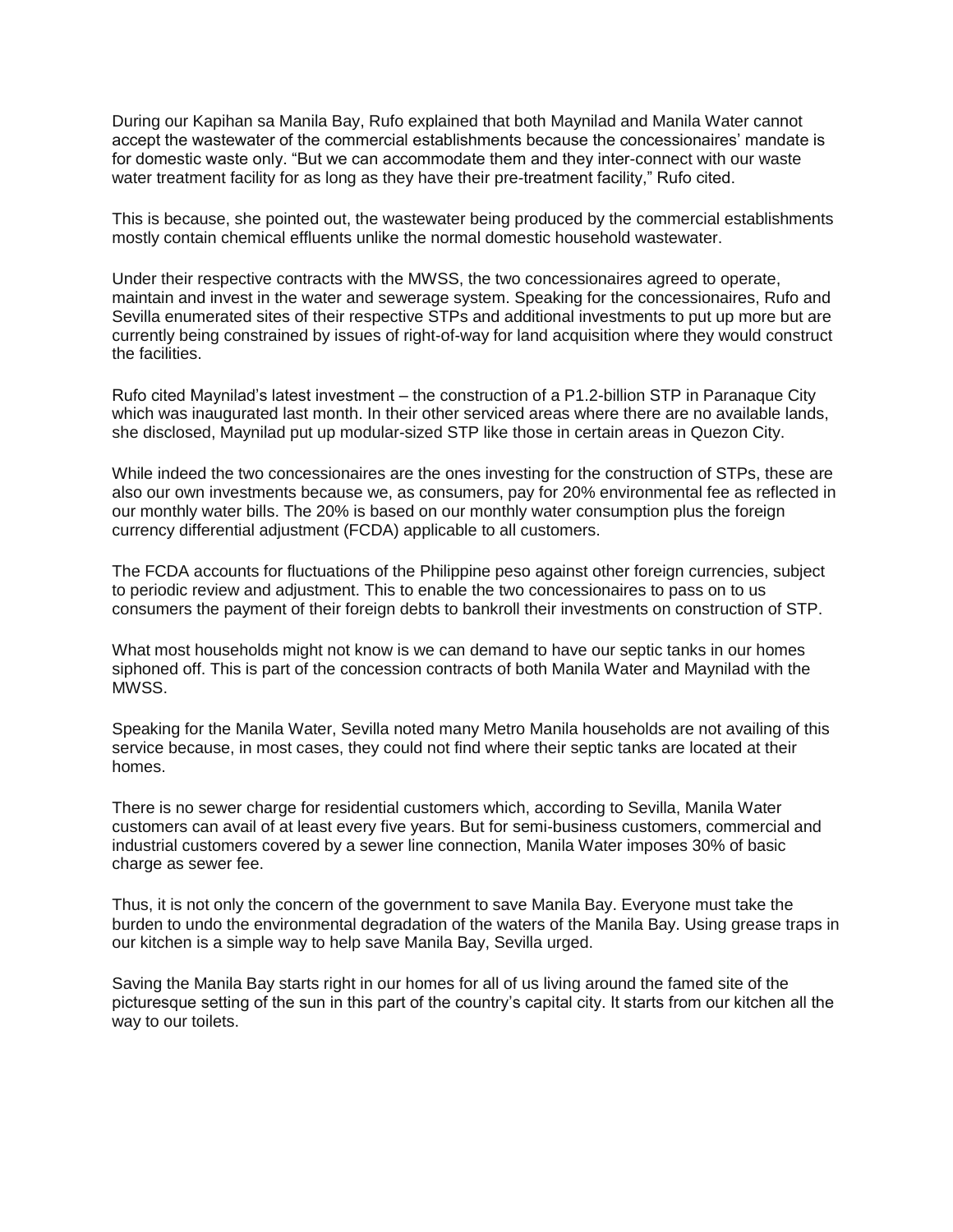During our Kapihan sa Manila Bay, Rufo explained that both Maynilad and Manila Water cannot accept the wastewater of the commercial establishments because the concessionaires' mandate is for domestic waste only. "But we can accommodate them and they inter-connect with our waste water treatment facility for as long as they have their pre-treatment facility," Rufo cited.

This is because, she pointed out, the wastewater being produced by the commercial establishments mostly contain chemical effluents unlike the normal domestic household wastewater.

Under their respective contracts with the MWSS, the two concessionaires agreed to operate, maintain and invest in the water and sewerage system. Speaking for the concessionaires, Rufo and Sevilla enumerated sites of their respective STPs and additional investments to put up more but are currently being constrained by issues of right-of-way for land acquisition where they would construct the facilities.

Rufo cited Maynilad's latest investment – the construction of a P1.2-billion STP in Paranaque City which was inaugurated last month. In their other serviced areas where there are no available lands, she disclosed, Maynilad put up modular-sized STP like those in certain areas in Quezon City.

While indeed the two concessionaires are the ones investing for the construction of STPs, these are also our own investments because we, as consumers, pay for 20% environmental fee as reflected in our monthly water bills. The 20% is based on our monthly water consumption plus the foreign currency differential adjustment (FCDA) applicable to all customers.

The FCDA accounts for fluctuations of the Philippine peso against other foreign currencies, subject to periodic review and adjustment. This to enable the two concessionaires to pass on to us consumers the payment of their foreign debts to bankroll their investments on construction of STP.

What most households might not know is we can demand to have our septic tanks in our homes siphoned off. This is part of the concession contracts of both Manila Water and Maynilad with the **MWSS** 

Speaking for the Manila Water, Sevilla noted many Metro Manila households are not availing of this service because, in most cases, they could not find where their septic tanks are located at their homes.

There is no sewer charge for residential customers which, according to Sevilla, Manila Water customers can avail of at least every five years. But for semi-business customers, commercial and industrial customers covered by a sewer line connection, Manila Water imposes 30% of basic charge as sewer fee.

Thus, it is not only the concern of the government to save Manila Bay. Everyone must take the burden to undo the environmental degradation of the waters of the Manila Bay. Using grease traps in our kitchen is a simple way to help save Manila Bay, Sevilla urged.

Saving the Manila Bay starts right in our homes for all of us living around the famed site of the picturesque setting of the sun in this part of the country's capital city. It starts from our kitchen all the way to our toilets.